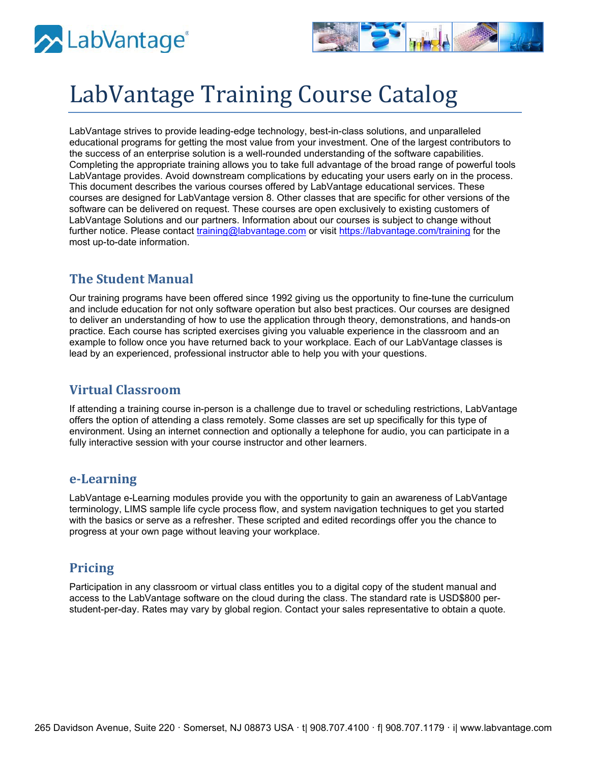



# LabVantage Training Course Catalog

LabVantage strives to provide leading-edge technology, best-in-class solutions, and unparalleled educational programs for getting the most value from your investment. One of the largest contributors to the success of an enterprise solution is a well-rounded understanding of the software capabilities. Completing the appropriate training allows you to take full advantage of the broad range of powerful tools LabVantage provides. Avoid downstream complications by educating your users early on in the process. This document describes the various courses offered by LabVantage educational services. These courses are designed for LabVantage version 8. Other classes that are specific for other versions of the software can be delivered on request. These courses are open exclusively to existing customers of LabVantage Solutions and our partners. Information about our courses is subject to change without further notice. Please contact [training@labvantage.com](mailto:training@labvantage.com) or visit<https://labvantage.com/training> for the most up-to-date information.

### **The Student Manual**

Our training programs have been offered since 1992 giving us the opportunity to fine-tune the curriculum and include education for not only software operation but also best practices. Our courses are designed to deliver an understanding of how to use the application through theory, demonstrations, and hands-on practice. Each course has scripted exercises giving you valuable experience in the classroom and an example to follow once you have returned back to your workplace. Each of our LabVantage classes is lead by an experienced, professional instructor able to help you with your questions.

### **Virtual Classroom**

If attending a training course in-person is a challenge due to travel or scheduling restrictions, LabVantage offers the option of attending a class remotely. Some classes are set up specifically for this type of environment. Using an internet connection and optionally a telephone for audio, you can participate in a fully interactive session with your course instructor and other learners.

### **e-Learning**

LabVantage e-Learning modules provide you with the opportunity to gain an awareness of LabVantage terminology, LIMS sample life cycle process flow, and system navigation techniques to get you started with the basics or serve as a refresher. These scripted and edited recordings offer you the chance to progress at your own page without leaving your workplace.

### **Pricing**

Participation in any classroom or virtual class entitles you to a digital copy of the student manual and access to the LabVantage software on the cloud during the class. The standard rate is USD\$800 perstudent-per-day. Rates may vary by global region. Contact your sales representative to obtain a quote.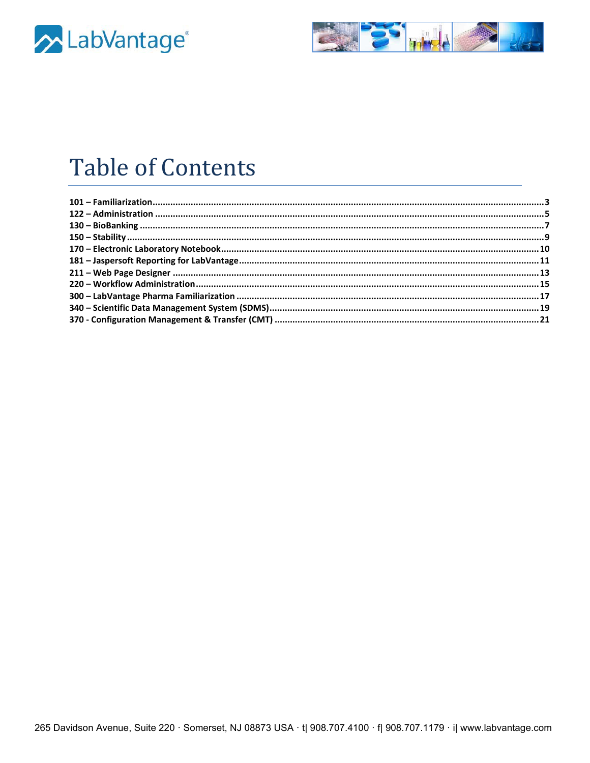



# **Table of Contents**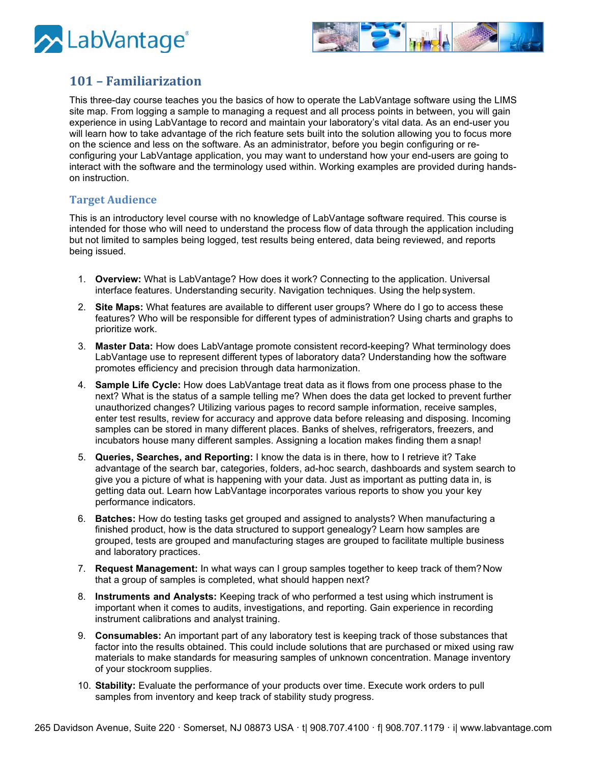



# <span id="page-2-0"></span>**101 – Familiarization**

This three-day course teaches you the basics of how to operate the LabVantage software using the LIMS site map. From logging a sample to managing a request and all process points in between, you will gain experience in using LabVantage to record and maintain your laboratory's vital data. As an end-user you will learn how to take advantage of the rich feature sets built into the solution allowing you to focus more on the science and less on the software. As an administrator, before you begin configuring or reconfiguring your LabVantage application, you may want to understand how your end-users are going to interact with the software and the terminology used within. Working examples are provided during handson instruction.

#### **Target Audience**

This is an introductory level course with no knowledge of LabVantage software required. This course is intended for those who will need to understand the process flow of data through the application including but not limited to samples being logged, test results being entered, data being reviewed, and reports being issued.

- 1. **Overview:** What is LabVantage? How does it work? Connecting to the application. Universal interface features. Understanding security. Navigation techniques. Using the help system.
- 2. **Site Maps:** What features are available to different user groups? Where do I go to access these features? Who will be responsible for different types of administration? Using charts and graphs to prioritize work.
- 3. **Master Data:** How does LabVantage promote consistent record-keeping? What terminology does LabVantage use to represent different types of laboratory data? Understanding how the software promotes efficiency and precision through data harmonization.
- 4. **Sample Life Cycle:** How does LabVantage treat data as it flows from one process phase to the next? What is the status of a sample telling me? When does the data get locked to prevent further unauthorized changes? Utilizing various pages to record sample information, receive samples, enter test results, review for accuracy and approve data before releasing and disposing. Incoming samples can be stored in many different places. Banks of shelves, refrigerators, freezers, and incubators house many different samples. Assigning a location makes finding them a snap!
- 5. **Queries, Searches, and Reporting:** I know the data is in there, how to I retrieve it? Take advantage of the search bar, categories, folders, ad-hoc search, dashboards and system search to give you a picture of what is happening with your data. Just as important as putting data in, is getting data out. Learn how LabVantage incorporates various reports to show you your key performance indicators.
- 6. **Batches:** How do testing tasks get grouped and assigned to analysts? When manufacturing a finished product, how is the data structured to support genealogy? Learn how samples are grouped, tests are grouped and manufacturing stages are grouped to facilitate multiple business and laboratory practices.
- 7. **Request Management:** In what ways can I group samples together to keep track of them?Now that a group of samples is completed, what should happen next?
- 8. **Instruments and Analysts:** Keeping track of who performed a test using which instrument is important when it comes to audits, investigations, and reporting. Gain experience in recording instrument calibrations and analyst training.
- 9. **Consumables:** An important part of any laboratory test is keeping track of those substances that factor into the results obtained. This could include solutions that are purchased or mixed using raw materials to make standards for measuring samples of unknown concentration. Manage inventory of your stockroom supplies.
- 10. **Stability:** Evaluate the performance of your products over time. Execute work orders to pull samples from inventory and keep track of stability study progress.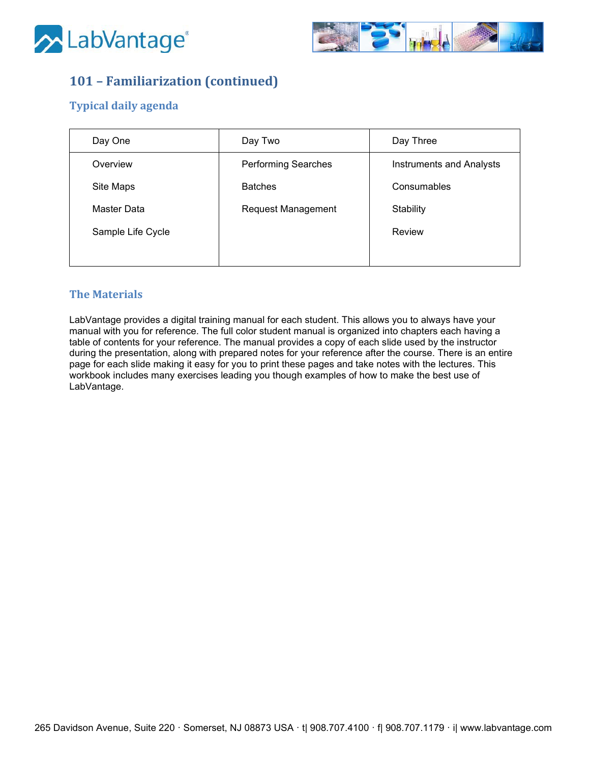



# **101 – Familiarization (continued)**

### **Typical daily agenda**

| Day One           | Day Two                    | Day Three                |
|-------------------|----------------------------|--------------------------|
| Overview          | <b>Performing Searches</b> | Instruments and Analysts |
| Site Maps         | <b>Batches</b>             | Consumables              |
| Master Data       | <b>Request Management</b>  | Stability                |
| Sample Life Cycle |                            | Review                   |
|                   |                            |                          |

### **The Materials**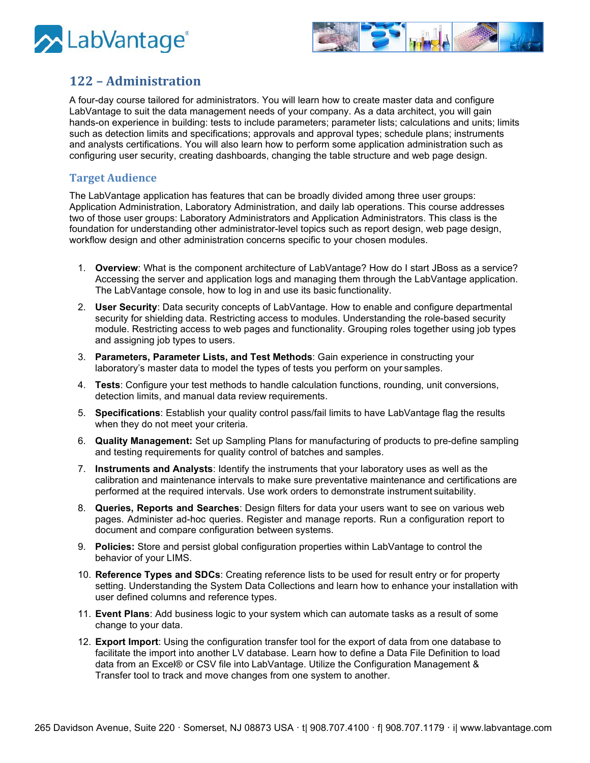



## <span id="page-4-0"></span>**122 – Administration**

A four-day course tailored for administrators. You will learn how to create master data and configure LabVantage to suit the data management needs of your company. As a data architect, you will gain hands-on experience in building: tests to include parameters; parameter lists; calculations and units; limits such as detection limits and specifications; approvals and approval types; schedule plans; instruments and analysts certifications. You will also learn how to perform some application administration such as configuring user security, creating dashboards, changing the table structure and web page design.

#### **Target Audience**

The LabVantage application has features that can be broadly divided among three user groups: Application Administration, Laboratory Administration, and daily lab operations. This course addresses two of those user groups: Laboratory Administrators and Application Administrators. This class is the foundation for understanding other administrator-level topics such as report design, web page design, workflow design and other administration concerns specific to your chosen modules.

- 1. **Overview**: What is the component architecture of LabVantage? How do I start JBoss as a service? Accessing the server and application logs and managing them through the LabVantage application. The LabVantage console, how to log in and use its basic functionality.
- 2. **User Security**: Data security concepts of LabVantage. How to enable and configure departmental security for shielding data. Restricting access to modules. Understanding the role-based security module. Restricting access to web pages and functionality. Grouping roles together using job types and assigning job types to users.
- 3. **Parameters, Parameter Lists, and Test Methods**: Gain experience in constructing your laboratory's master data to model the types of tests you perform on your samples.
- 4. **Tests**: Configure your test methods to handle calculation functions, rounding, unit conversions, detection limits, and manual data review requirements.
- 5. **Specifications**: Establish your quality control pass/fail limits to have LabVantage flag the results when they do not meet your criteria.
- 6. **Quality Management:** Set up Sampling Plans for manufacturing of products to pre-define sampling and testing requirements for quality control of batches and samples.
- 7. **Instruments and Analysts**: Identify the instruments that your laboratory uses as well as the calibration and maintenance intervals to make sure preventative maintenance and certifications are performed at the required intervals. Use work orders to demonstrate instrument suitability.
- 8. **Queries, Reports and Searches**: Design filters for data your users want to see on various web pages. Administer ad-hoc queries. Register and manage reports. Run a configuration report to document and compare configuration between systems.
- 9. **Policies:** Store and persist global configuration properties within LabVantage to control the behavior of your LIMS.
- 10. **Reference Types and SDCs**: Creating reference lists to be used for result entry or for property setting. Understanding the System Data Collections and learn how to enhance your installation with user defined columns and reference types.
- 11. **Event Plans**: Add business logic to your system which can automate tasks as a result of some change to your data.
- 12. **Export Import**: Using the configuration transfer tool for the export of data from one database to facilitate the import into another LV database. Learn how to define a Data File Definition to load data from an Excel® or CSV file into LabVantage. Utilize the Configuration Management & Transfer tool to track and move changes from one system to another.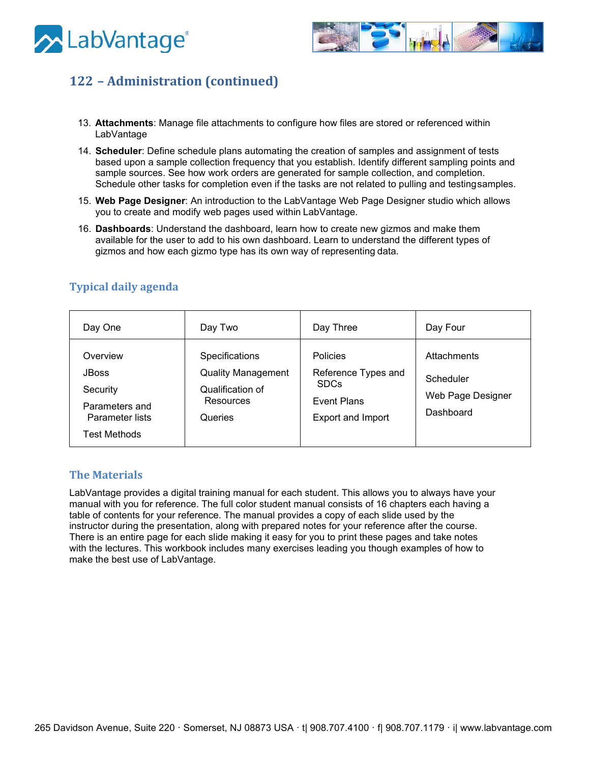



# **122 – Administration (continued)**

- 13. **Attachments**: Manage file attachments to configure how files are stored or referenced within LabVantage
- 14. **Scheduler**: Define schedule plans automating the creation of samples and assignment of tests based upon a sample collection frequency that you establish. Identify different sampling points and sample sources. See how work orders are generated for sample collection, and completion. Schedule other tasks for completion even if the tasks are not related to pulling and testingsamples.
- 15. **Web Page Designer**: An introduction to the LabVantage Web Page Designer studio which allows you to create and modify web pages used within LabVantage.
- 16. **Dashboards**: Understand the dashboard, learn how to create new gizmos and make them available for the user to add to his own dashboard. Learn to understand the different types of gizmos and how each gizmo type has its own way of representing data.

| Day One                                                                                          | Day Two                                                                                 | Day Three                                                                                               | Day Four                                                   |
|--------------------------------------------------------------------------------------------------|-----------------------------------------------------------------------------------------|---------------------------------------------------------------------------------------------------------|------------------------------------------------------------|
| Overview<br><b>JBoss</b><br>Security<br>Parameters and<br>Parameter lists<br><b>Test Methods</b> | Specifications<br><b>Quality Management</b><br>Qualification of<br>Resources<br>Queries | <b>Policies</b><br>Reference Types and<br><b>SDCs</b><br><b>Event Plans</b><br><b>Export and Import</b> | Attachments<br>Scheduler<br>Web Page Designer<br>Dashboard |

### **Typical daily agenda**

#### **The Materials**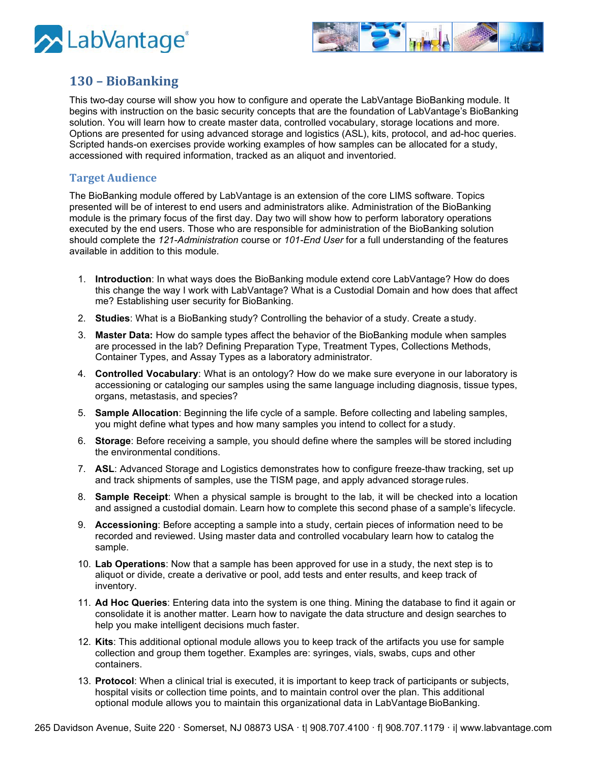



# <span id="page-6-0"></span>**130 – BioBanking**

This two-day course will show you how to configure and operate the LabVantage BioBanking module. It begins with instruction on the basic security concepts that are the foundation of LabVantage's BioBanking solution. You will learn how to create master data, controlled vocabulary, storage locations and more. Options are presented for using advanced storage and logistics (ASL), kits, protocol, and ad-hoc queries. Scripted hands-on exercises provide working examples of how samples can be allocated for a study, accessioned with required information, tracked as an aliquot and inventoried.

#### **Target Audience**

The BioBanking module offered by LabVantage is an extension of the core LIMS software. Topics presented will be of interest to end users and administrators alike. Administration of the BioBanking module is the primary focus of the first day. Day two will show how to perform laboratory operations executed by the end users. Those who are responsible for administration of the BioBanking solution should complete the *121-Administration* course or *101-End User* for a full understanding of the features available in addition to this module.

- 1. **Introduction**: In what ways does the BioBanking module extend core LabVantage? How do does this change the way I work with LabVantage? What is a Custodial Domain and how does that affect me? Establishing user security for BioBanking.
- 2. **Studies**: What is a BioBanking study? Controlling the behavior of a study. Create a study.
- 3. **Master Data:** How do sample types affect the behavior of the BioBanking module when samples are processed in the lab? Defining Preparation Type, Treatment Types, Collections Methods, Container Types, and Assay Types as a laboratory administrator.
- 4. **Controlled Vocabulary**: What is an ontology? How do we make sure everyone in our laboratory is accessioning or cataloging our samples using the same language including diagnosis, tissue types, organs, metastasis, and species?
- 5. **Sample Allocation**: Beginning the life cycle of a sample. Before collecting and labeling samples, you might define what types and how many samples you intend to collect for a study.
- 6. **Storage**: Before receiving a sample, you should define where the samples will be stored including the environmental conditions.
- 7. **ASL**: Advanced Storage and Logistics demonstrates how to configure freeze-thaw tracking, set up and track shipments of samples, use the TISM page, and apply advanced storage rules.
- 8. **Sample Receipt**: When a physical sample is brought to the lab, it will be checked into a location and assigned a custodial domain. Learn how to complete this second phase of a sample's lifecycle.
- 9. **Accessioning**: Before accepting a sample into a study, certain pieces of information need to be recorded and reviewed. Using master data and controlled vocabulary learn how to catalog the sample.
- 10. **Lab Operations**: Now that a sample has been approved for use in a study, the next step is to aliquot or divide, create a derivative or pool, add tests and enter results, and keep track of inventory.
- 11. **Ad Hoc Queries**: Entering data into the system is one thing. Mining the database to find it again or consolidate it is another matter. Learn how to navigate the data structure and design searches to help you make intelligent decisions much faster.
- 12. **Kits**: This additional optional module allows you to keep track of the artifacts you use for sample collection and group them together. Examples are: syringes, vials, swabs, cups and other containers.
- 13. **Protocol**: When a clinical trial is executed, it is important to keep track of participants or subjects, hospital visits or collection time points, and to maintain control over the plan. This additional optional module allows you to maintain this organizational data in LabVantage BioBanking.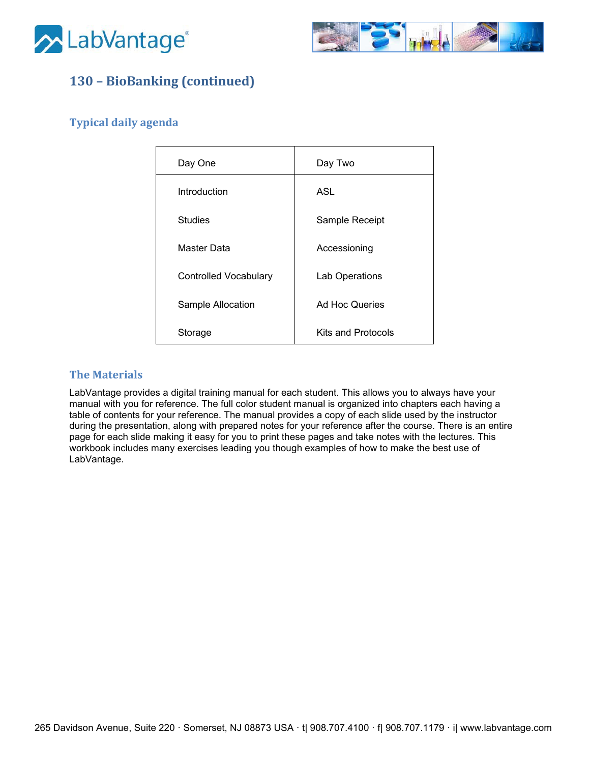



# **130 – BioBanking (continued)**

### **Typical daily agenda**

| Day One                      | Day Two            |
|------------------------------|--------------------|
| Introduction                 | ASL                |
| Studies                      | Sample Receipt     |
| Master Data                  | Accessioning       |
| <b>Controlled Vocabulary</b> | Lab Operations     |
| Sample Allocation            | Ad Hoc Queries     |
| Storage                      | Kits and Protocols |

### **The Materials**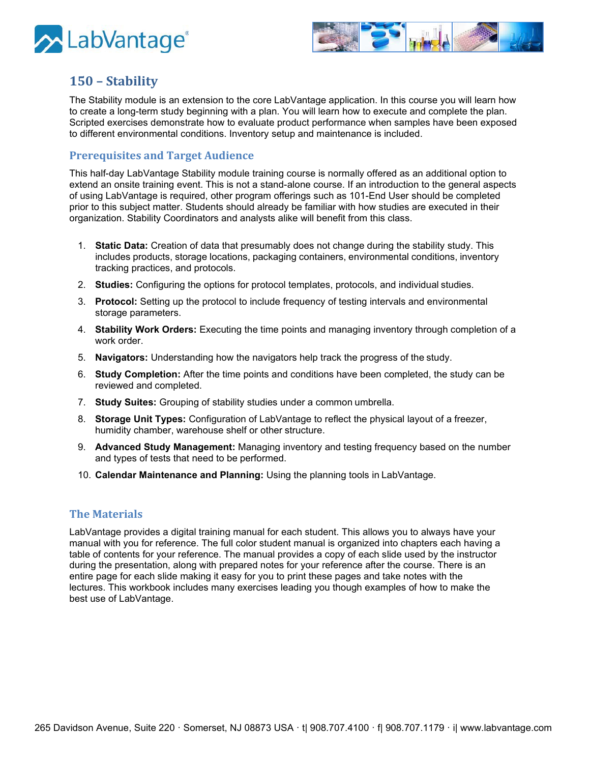



## <span id="page-8-0"></span>**150 – Stability**

The Stability module is an extension to the core LabVantage application. In this course you will learn how to create a long-term study beginning with a plan. You will learn how to execute and complete the plan. Scripted exercises demonstrate how to evaluate product performance when samples have been exposed to different environmental conditions. Inventory setup and maintenance is included.

#### **Prerequisites and Target Audience**

This half-day LabVantage Stability module training course is normally offered as an additional option to extend an onsite training event. This is not a stand-alone course. If an introduction to the general aspects of using LabVantage is required, other program offerings such as 101-End User should be completed prior to this subject matter. Students should already be familiar with how studies are executed in their organization. Stability Coordinators and analysts alike will benefit from this class.

- 1. **Static Data:** Creation of data that presumably does not change during the stability study. This includes products, storage locations, packaging containers, environmental conditions, inventory tracking practices, and protocols.
- 2. **Studies:** Configuring the options for protocol templates, protocols, and individual studies.
- 3. **Protocol:** Setting up the protocol to include frequency of testing intervals and environmental storage parameters.
- 4. **Stability Work Orders:** Executing the time points and managing inventory through completion of a work order.
- 5. **Navigators:** Understanding how the navigators help track the progress of the study.
- 6. **Study Completion:** After the time points and conditions have been completed, the study can be reviewed and completed.
- 7. **Study Suites:** Grouping of stability studies under a common umbrella.
- 8. **Storage Unit Types:** Configuration of LabVantage to reflect the physical layout of a freezer, humidity chamber, warehouse shelf or other structure.
- 9. **Advanced Study Management:** Managing inventory and testing frequency based on the number and types of tests that need to be performed.
- 10. **Calendar Maintenance and Planning:** Using the planning tools in LabVantage.

#### **The Materials**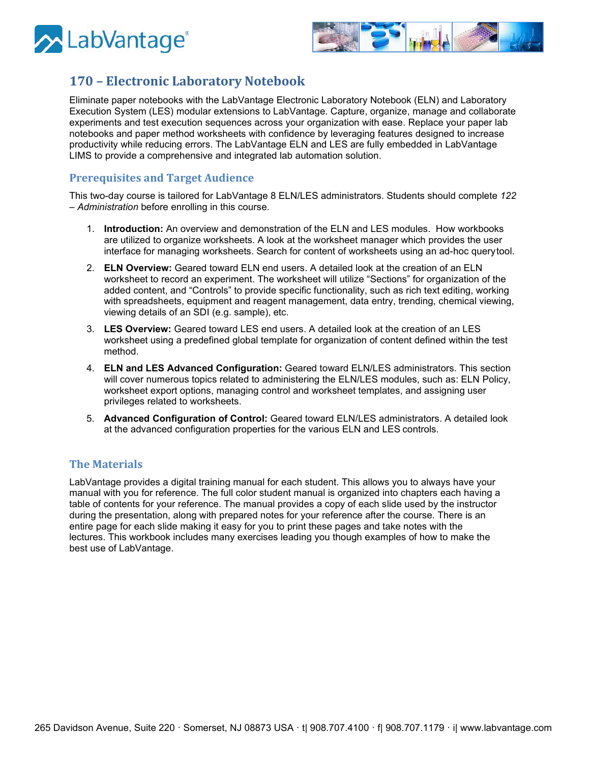



# <span id="page-9-0"></span>**170 – Electronic Laboratory Notebook**

Eliminate paper notebooks with the LabVantage Electronic Laboratory Notebook (ELN) and Laboratory Execution System (LES) modular extensions to LabVantage. Capture, organize, manage and collaborate experiments and test execution sequences across your organization with ease. Replace your paper lab notebooks and paper method worksheets with confidence by leveraging features designed to increase productivity while reducing errors. The LabVantage ELN and LES are fully embedded in LabVantage LIMS to provide a comprehensive and integrated lab automation solution.

### **Prerequisites and Target Audience**

This two-day course is tailored for LabVantage 8 ELN/LES administrators. Students should complete *122 – Administration* before enrolling in this course.

- 1. **Introduction:** An overview and demonstration of the ELN and LES modules. How workbooks are utilized to organize worksheets. A look at the worksheet manager which provides the user interface for managing worksheets. Search for content of worksheets using an ad-hoc querytool.
- 2. **ELN Overview:** Geared toward ELN end users. A detailed look at the creation of an ELN worksheet to record an experiment. The worksheet will utilize "Sections" for organization of the added content, and "Controls" to provide specific functionality, such as rich text editing, working with spreadsheets, equipment and reagent management, data entry, trending, chemical viewing, viewing details of an SDI (e.g. sample), etc.
- 3. **LES Overview:** Geared toward LES end users. A detailed look at the creation of an LES worksheet using a predefined global template for organization of content defined within the test method.
- 4. **ELN and LES Advanced Configuration:** Geared toward ELN/LES administrators. This section will cover numerous topics related to administering the ELN/LES modules, such as: ELN Policy, worksheet export options, managing control and worksheet templates, and assigning user privileges related to worksheets.
- 5. **Advanced Configuration of Control:** Geared toward ELN/LES administrators. A detailed look at the advanced configuration properties for the various ELN and LES controls.

#### **The Materials**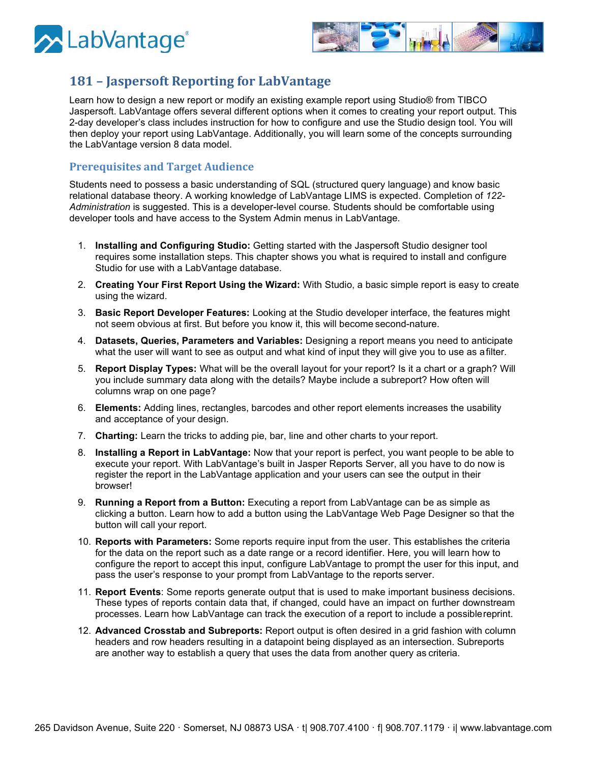



# <span id="page-10-0"></span>**181 – Jaspersoft Reporting for LabVantage**

Learn how to design a new report or modify an existing example report using Studio® from TIBCO Jaspersoft. LabVantage offers several different options when it comes to creating your report output. This 2-day developer's class includes instruction for how to configure and use the Studio design tool. You will then deploy your report using LabVantage. Additionally, you will learn some of the concepts surrounding the LabVantage version 8 data model.

#### **Prerequisites and Target Audience**

Students need to possess a basic understanding of SQL (structured query language) and know basic relational database theory. A working knowledge of LabVantage LIMS is expected. Completion of *122- Administration* is suggested. This is a developer-level course. Students should be comfortable using developer tools and have access to the System Admin menus in LabVantage.

- 1. **Installing and Configuring Studio:** Getting started with the Jaspersoft Studio designer tool requires some installation steps. This chapter shows you what is required to install and configure Studio for use with a LabVantage database.
- 2. **Creating Your First Report Using the Wizard:** With Studio, a basic simple report is easy to create using the wizard.
- 3. **Basic Report Developer Features:** Looking at the Studio developer interface, the features might not seem obvious at first. But before you know it, this will become second-nature.
- 4. **Datasets, Queries, Parameters and Variables:** Designing a report means you need to anticipate what the user will want to see as output and what kind of input they will give you to use as afilter.
- 5. **Report Display Types:** What will be the overall layout for your report? Is it a chart or a graph? Will you include summary data along with the details? Maybe include a subreport? How often will columns wrap on one page?
- 6. **Elements:** Adding lines, rectangles, barcodes and other report elements increases the usability and acceptance of your design.
- 7. **Charting:** Learn the tricks to adding pie, bar, line and other charts to your report.
- 8. **Installing a Report in LabVantage:** Now that your report is perfect, you want people to be able to execute your report. With LabVantage's built in Jasper Reports Server, all you have to do now is register the report in the LabVantage application and your users can see the output in their browser!
- 9. **Running a Report from a Button:** Executing a report from LabVantage can be as simple as clicking a button. Learn how to add a button using the LabVantage Web Page Designer so that the button will call your report.
- 10. **Reports with Parameters:** Some reports require input from the user. This establishes the criteria for the data on the report such as a date range or a record identifier. Here, you will learn how to configure the report to accept this input, configure LabVantage to prompt the user for this input, and pass the user's response to your prompt from LabVantage to the reports server.
- 11. **Report Events**: Some reports generate output that is used to make important business decisions. These types of reports contain data that, if changed, could have an impact on further downstream processes. Learn how LabVantage can track the execution of a report to include a possiblereprint.
- 12. **Advanced Crosstab and Subreports:** Report output is often desired in a grid fashion with column headers and row headers resulting in a datapoint being displayed as an intersection. Subreports are another way to establish a query that uses the data from another query as criteria.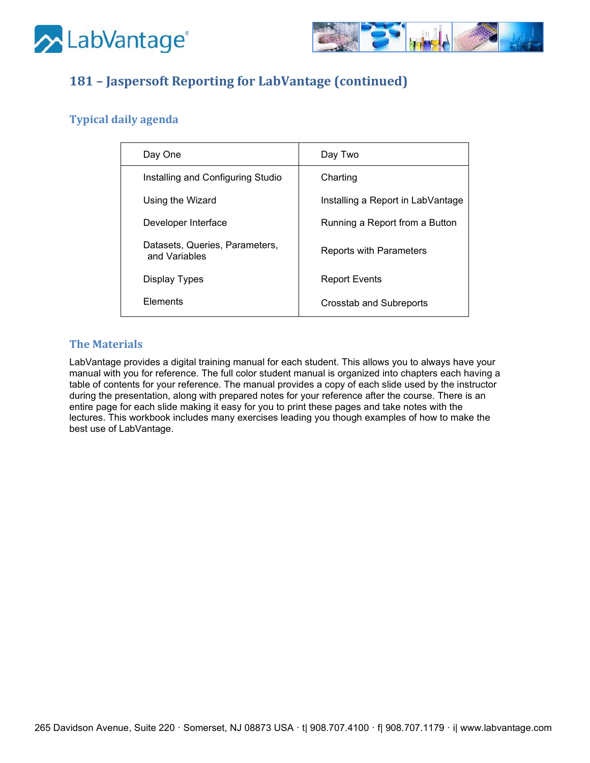



# **181 – Jaspersoft Reporting for LabVantage (continued)**

### **Typical daily agenda**

| Day One                                         | Day Two                           |
|-------------------------------------------------|-----------------------------------|
| Installing and Configuring Studio               | Charting                          |
| Using the Wizard                                | Installing a Report in LabVantage |
| Developer Interface                             | Running a Report from a Button    |
| Datasets, Queries, Parameters,<br>and Variables | Reports with Parameters           |
| <b>Display Types</b>                            | <b>Report Events</b>              |
| Elements                                        | Crosstab and Subreports           |

### **The Materials**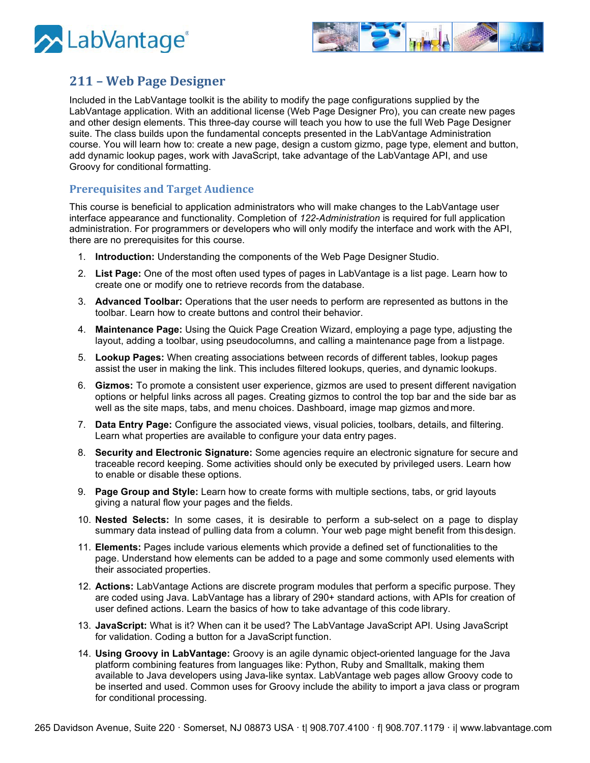



## <span id="page-12-0"></span>**211 – Web Page Designer**

Included in the LabVantage toolkit is the ability to modify the page configurations supplied by the LabVantage application. With an additional license (Web Page Designer Pro), you can create new pages and other design elements. This three-day course will teach you how to use the full Web Page Designer suite. The class builds upon the fundamental concepts presented in the LabVantage Administration course. You will learn how to: create a new page, design a custom gizmo, page type, element and button, add dynamic lookup pages, work with JavaScript, take advantage of the LabVantage API, and use Groovy for conditional formatting.

#### **Prerequisites and Target Audience**

This course is beneficial to application administrators who will make changes to the LabVantage user interface appearance and functionality. Completion of *122-Administration* is required for full application administration. For programmers or developers who will only modify the interface and work with the API, there are no prerequisites for this course.

- 1. **Introduction:** Understanding the components of the Web Page Designer Studio.
- 2. **List Page:** One of the most often used types of pages in LabVantage is a list page. Learn how to create one or modify one to retrieve records from the database.
- 3. **Advanced Toolbar:** Operations that the user needs to perform are represented as buttons in the toolbar. Learn how to create buttons and control their behavior.
- 4. **Maintenance Page:** Using the Quick Page Creation Wizard, employing a page type, adjusting the layout, adding a toolbar, using pseudocolumns, and calling a maintenance page from a listpage.
- 5. **Lookup Pages:** When creating associations between records of different tables, lookup pages assist the user in making the link. This includes filtered lookups, queries, and dynamic lookups.
- 6. **Gizmos:** To promote a consistent user experience, gizmos are used to present different navigation options or helpful links across all pages. Creating gizmos to control the top bar and the side bar as well as the site maps, tabs, and menu choices. Dashboard, image map gizmos and more.
- 7. **Data Entry Page:** Configure the associated views, visual policies, toolbars, details, and filtering. Learn what properties are available to configure your data entry pages.
- 8. **Security and Electronic Signature:** Some agencies require an electronic signature for secure and traceable record keeping. Some activities should only be executed by privileged users. Learn how to enable or disable these options.
- 9. **Page Group and Style:** Learn how to create forms with multiple sections, tabs, or grid layouts giving a natural flow your pages and the fields.
- 10. **Nested Selects:** In some cases, it is desirable to perform a sub-select on a page to display summary data instead of pulling data from a column. Your web page might benefit from thisdesign.
- 11. **Elements:** Pages include various elements which provide a defined set of functionalities to the page. Understand how elements can be added to a page and some commonly used elements with their associated properties.
- 12. **Actions:** LabVantage Actions are discrete program modules that perform a specific purpose. They are coded using Java. LabVantage has a library of 290+ standard actions, with APIs for creation of user defined actions. Learn the basics of how to take advantage of this code library.
- 13. **JavaScript:** What is it? When can it be used? The LabVantage JavaScript API. Using JavaScript for validation. Coding a button for a JavaScript function.
- 14. **Using Groovy in LabVantage:** Groovy is an agile dynamic object-oriented language for the Java platform combining features from languages like: Python, Ruby and Smalltalk, making them available to Java developers using Java-like syntax. LabVantage web pages allow Groovy code to be inserted and used. Common uses for Groovy include the ability to import a java class or program for conditional processing.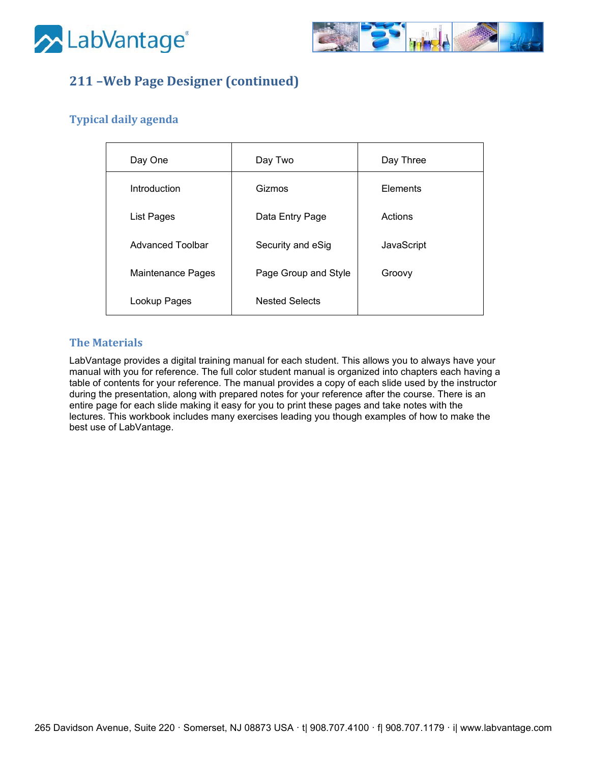



# **211 –Web Page Designer (continued)**

### **Typical daily agenda**

| Day One                  | Day Two               | Day Three  |
|--------------------------|-----------------------|------------|
| Introduction             | Gizmos                | Elements   |
| <b>List Pages</b>        | Data Entry Page       | Actions    |
| Advanced Toolbar         | Security and eSig     | JavaScript |
| <b>Maintenance Pages</b> | Page Group and Style  | Groovy     |
| Lookup Pages             | <b>Nested Selects</b> |            |

### **The Materials**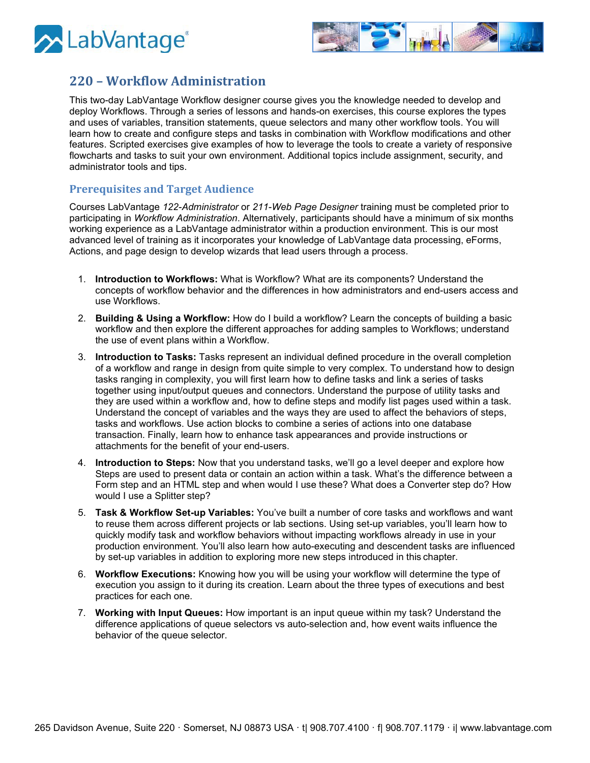



### <span id="page-14-0"></span>**220 – Workflow Administration**

This two-day LabVantage Workflow designer course gives you the knowledge needed to develop and deploy Workflows. Through a series of lessons and hands-on exercises, this course explores the types and uses of variables, transition statements, queue selectors and many other workflow tools. You will learn how to create and configure steps and tasks in combination with Workflow modifications and other features. Scripted exercises give examples of how to leverage the tools to create a variety of responsive flowcharts and tasks to suit your own environment. Additional topics include assignment, security, and administrator tools and tips.

#### **Prerequisites and Target Audience**

Courses LabVantage *122-Administrator* or *211-Web Page Designer* training must be completed prior to participating in *Workflow Administration*. Alternatively, participants should have a minimum of six months working experience as a LabVantage administrator within a production environment. This is our most advanced level of training as it incorporates your knowledge of LabVantage data processing, eForms, Actions, and page design to develop wizards that lead users through a process.

- 1. **Introduction to Workflows:** What is Workflow? What are its components? Understand the concepts of workflow behavior and the differences in how administrators and end-users access and use Workflows.
- 2. **Building & Using a Workflow:** How do I build a workflow? Learn the concepts of building a basic workflow and then explore the different approaches for adding samples to Workflows; understand the use of event plans within a Workflow.
- 3. **Introduction to Tasks:** Tasks represent an individual defined procedure in the overall completion of a workflow and range in design from quite simple to very complex. To understand how to design tasks ranging in complexity, you will first learn how to define tasks and link a series of tasks together using input/output queues and connectors. Understand the purpose of utility tasks and they are used within a workflow and, how to define steps and modify list pages used within a task. Understand the concept of variables and the ways they are used to affect the behaviors of steps, tasks and workflows. Use action blocks to combine a series of actions into one database transaction. Finally, learn how to enhance task appearances and provide instructions or attachments for the benefit of your end-users.
- 4. **Introduction to Steps:** Now that you understand tasks, we'll go a level deeper and explore how Steps are used to present data or contain an action within a task. What's the difference between a Form step and an HTML step and when would I use these? What does a Converter step do? How would I use a Splitter step?
- 5. **Task & Workflow Set-up Variables:** You've built a number of core tasks and workflows and want to reuse them across different projects or lab sections. Using set-up variables, you'll learn how to quickly modify task and workflow behaviors without impacting workflows already in use in your production environment. You'll also learn how auto-executing and descendent tasks are influenced by set-up variables in addition to exploring more new steps introduced in this chapter.
- 6. **Workflow Executions:** Knowing how you will be using your workflow will determine the type of execution you assign to it during its creation. Learn about the three types of executions and best practices for each one.
- 7. **Working with Input Queues:** How important is an input queue within my task? Understand the difference applications of queue selectors vs auto-selection and, how event waits influence the behavior of the queue selector.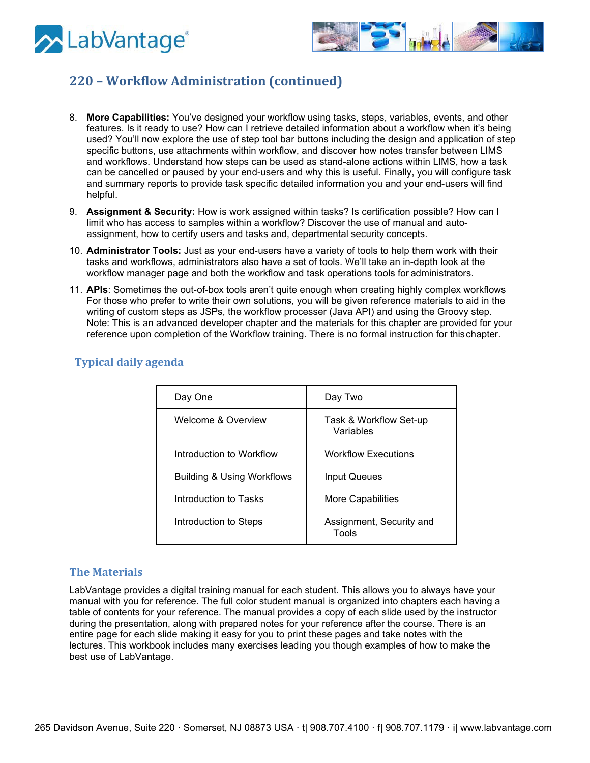



# **220 – Workflow Administration (continued)**

- 8. **More Capabilities:** You've designed your workflow using tasks, steps, variables, events, and other features. Is it ready to use? How can I retrieve detailed information about a workflow when it's being used? You'll now explore the use of step tool bar buttons including the design and application of step specific buttons, use attachments within workflow, and discover how notes transfer between LIMS and workflows. Understand how steps can be used as stand-alone actions within LIMS, how a task can be cancelled or paused by your end-users and why this is useful. Finally, you will configure task and summary reports to provide task specific detailed information you and your end-users will find helpful.
- 9. **Assignment & Security:** How is work assigned within tasks? Is certification possible? How can I limit who has access to samples within a workflow? Discover the use of manual and autoassignment, how to certify users and tasks and, departmental security concepts.
- 10. **Administrator Tools:** Just as your end-users have a variety of tools to help them work with their tasks and workflows, administrators also have a set of tools. We'll take an in-depth look at the workflow manager page and both the workflow and task operations tools for administrators.
- 11. **APIs**: Sometimes the out-of-box tools aren't quite enough when creating highly complex workflows For those who prefer to write their own solutions, you will be given reference materials to aid in the writing of custom steps as JSPs, the workflow processer (Java API) and using the Groovy step. Note: This is an advanced developer chapter and the materials for this chapter are provided for your reference upon completion of the Workflow training. There is no formal instruction for thischapter.

| <b>Typical daily agenda</b> |  |  |
|-----------------------------|--|--|
|                             |  |  |

| Day One                               | Day Two                             |
|---------------------------------------|-------------------------------------|
| <b>Welcome &amp; Overview</b>         | Task & Workflow Set-up<br>Variables |
| Introduction to Workflow              | <b>Workflow Executions</b>          |
| <b>Building &amp; Using Workflows</b> | Input Queues                        |
| Introduction to Tasks                 | More Capabilities                   |
| Introduction to Steps                 | Assignment, Security and<br>Tools   |

#### **The Materials**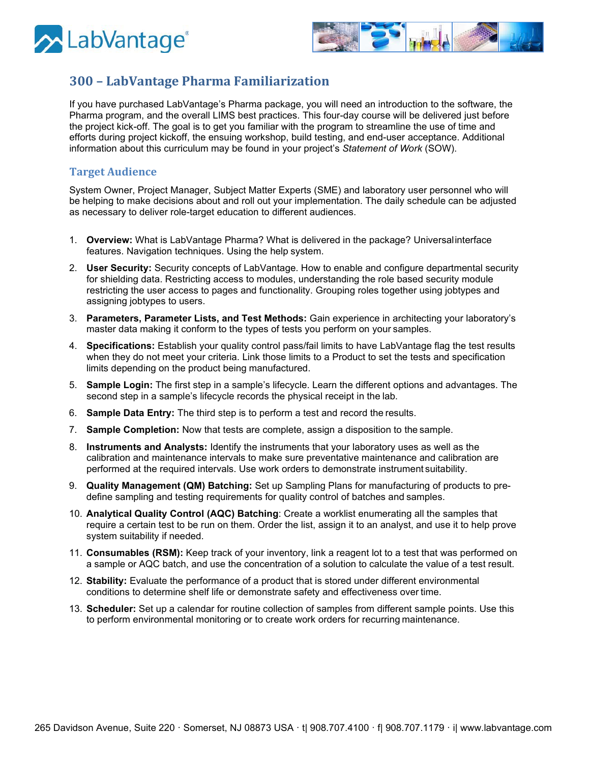



## <span id="page-16-0"></span>**300 – LabVantage Pharma Familiarization**

If you have purchased LabVantage's Pharma package, you will need an introduction to the software, the Pharma program, and the overall LIMS best practices. This four-day course will be delivered just before the project kick-off. The goal is to get you familiar with the program to streamline the use of time and efforts during project kickoff, the ensuing workshop, build testing, and end-user acceptance. Additional information about this curriculum may be found in your project's *Statement of Work* (SOW).

#### **Target Audience**

System Owner, Project Manager, Subject Matter Experts (SME) and laboratory user personnel who will be helping to make decisions about and roll out your implementation. The daily schedule can be adjusted as necessary to deliver role-target education to different audiences.

- 1. **Overview:** What is LabVantage Pharma? What is delivered in the package? Universalinterface features. Navigation techniques. Using the help system.
- 2. **User Security:** Security concepts of LabVantage. How to enable and configure departmental security for shielding data. Restricting access to modules, understanding the role based security module restricting the user access to pages and functionality. Grouping roles together using jobtypes and assigning jobtypes to users.
- 3. **Parameters, Parameter Lists, and Test Methods:** Gain experience in architecting your laboratory's master data making it conform to the types of tests you perform on your samples.
- 4. **Specifications:** Establish your quality control pass/fail limits to have LabVantage flag the test results when they do not meet your criteria. Link those limits to a Product to set the tests and specification limits depending on the product being manufactured.
- 5. **Sample Login:** The first step in a sample's lifecycle. Learn the different options and advantages. The second step in a sample's lifecycle records the physical receipt in the lab.
- 6. **Sample Data Entry:** The third step is to perform a test and record the results.
- 7. **Sample Completion:** Now that tests are complete, assign a disposition to the sample.
- 8. **Instruments and Analysts:** Identify the instruments that your laboratory uses as well as the calibration and maintenance intervals to make sure preventative maintenance and calibration are performed at the required intervals. Use work orders to demonstrate instrument suitability.
- 9. **Quality Management (QM) Batching:** Set up Sampling Plans for manufacturing of products to predefine sampling and testing requirements for quality control of batches and samples.
- 10. **Analytical Quality Control (AQC) Batching**: Create a worklist enumerating all the samples that require a certain test to be run on them. Order the list, assign it to an analyst, and use it to help prove system suitability if needed.
- 11. **Consumables (RSM):** Keep track of your inventory, link a reagent lot to a test that was performed on a sample or AQC batch, and use the concentration of a solution to calculate the value of a test result.
- 12. **Stability:** Evaluate the performance of a product that is stored under different environmental conditions to determine shelf life or demonstrate safety and effectiveness over time.
- 13. **Scheduler:** Set up a calendar for routine collection of samples from different sample points. Use this to perform environmental monitoring or to create work orders for recurring maintenance.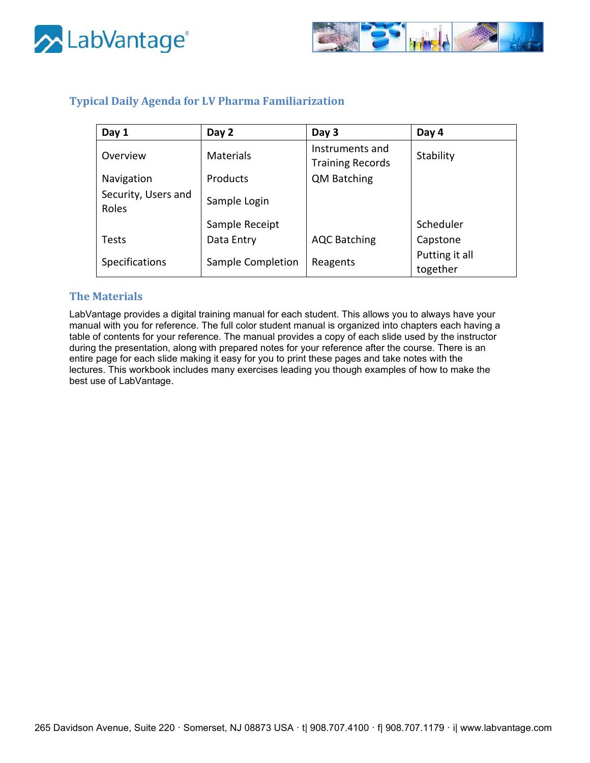



### **Typical Daily Agenda for LV Pharma Familiarization**

| Day 1                        | Day 2             | Day 3                                      | Day 4                      |
|------------------------------|-------------------|--------------------------------------------|----------------------------|
| Overview                     | <b>Materials</b>  | Instruments and<br><b>Training Records</b> | Stability                  |
| Navigation                   | Products          | <b>QM Batching</b>                         |                            |
| Security, Users and<br>Roles | Sample Login      |                                            |                            |
|                              | Sample Receipt    |                                            | Scheduler                  |
| <b>Tests</b>                 | Data Entry        | <b>AQC Batching</b>                        | Capstone                   |
| Specifications               | Sample Completion | Reagents                                   | Putting it all<br>together |

### **The Materials**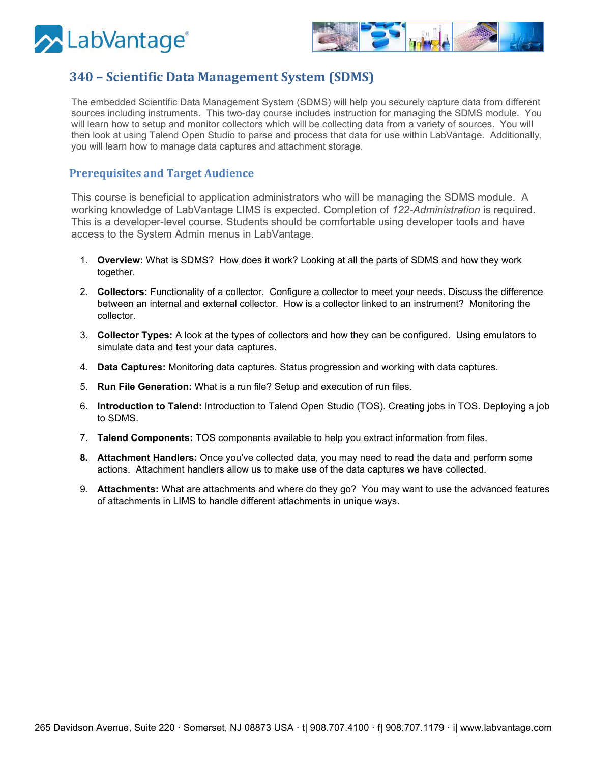



# <span id="page-18-0"></span>**340 – Scientific Data Management System (SDMS)**

The embedded Scientific Data Management System (SDMS) will help you securely capture data from different sources including instruments. This two-day course includes instruction for managing the SDMS module. You will learn how to setup and monitor collectors which will be collecting data from a variety of sources. You will then look at using Talend Open Studio to parse and process that data for use within LabVantage. Additionally, you will learn how to manage data captures and attachment storage.

#### **Prerequisites and Target Audience**

This course is beneficial to application administrators who will be managing the SDMS module. A working knowledge of LabVantage LIMS is expected. Completion of *122-Administration* is required. This is a developer-level course. Students should be comfortable using developer tools and have access to the System Admin menus in LabVantage.

- 1. **Overview:** What is SDMS? How does it work? Looking at all the parts of SDMS and how they work together.
- 2. **Collectors:** Functionality of a collector. Configure a collector to meet your needs. Discuss the difference between an internal and external collector. How is a collector linked to an instrument? Monitoring the collector.
- 3. **Collector Types:** A look at the types of collectors and how they can be configured. Using emulators to simulate data and test your data captures.
- 4. **Data Captures:** Monitoring data captures. Status progression and working with data captures.
- 5. **Run File Generation:** What is a run file? Setup and execution of run files.
- 6. **Introduction to Talend:** Introduction to Talend Open Studio (TOS). Creating jobs in TOS. Deploying a job to SDMS.
- 7. **Talend Components:** TOS components available to help you extract information from files.
- **8. Attachment Handlers:** Once you've collected data, you may need to read the data and perform some actions. Attachment handlers allow us to make use of the data captures we have collected.
- 9. **Attachments:** What are attachments and where do they go? You may want to use the advanced features of attachments in LIMS to handle different attachments in unique ways.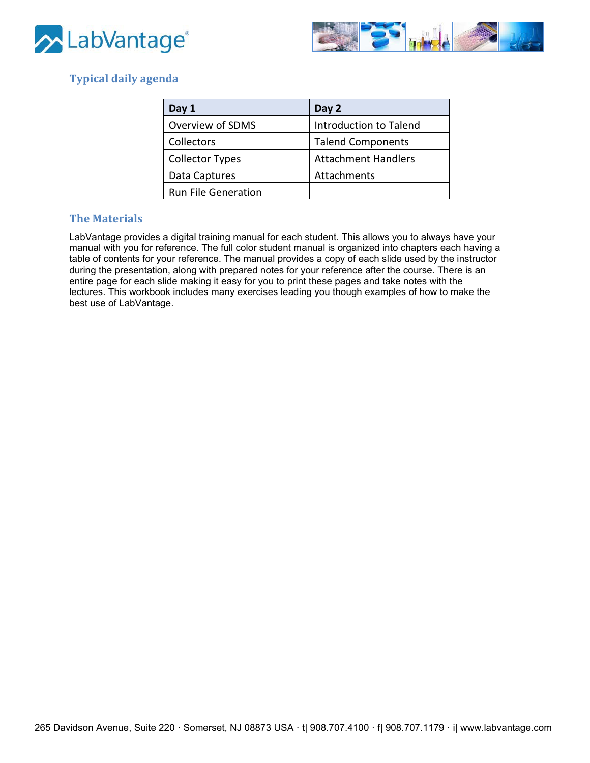



### **Typical daily agenda**

| Day 1                      | Day 2                      |
|----------------------------|----------------------------|
| Overview of SDMS           | Introduction to Talend     |
| Collectors                 | <b>Talend Components</b>   |
| <b>Collector Types</b>     | <b>Attachment Handlers</b> |
| Data Captures              | Attachments                |
| <b>Run File Generation</b> |                            |

### **The Materials**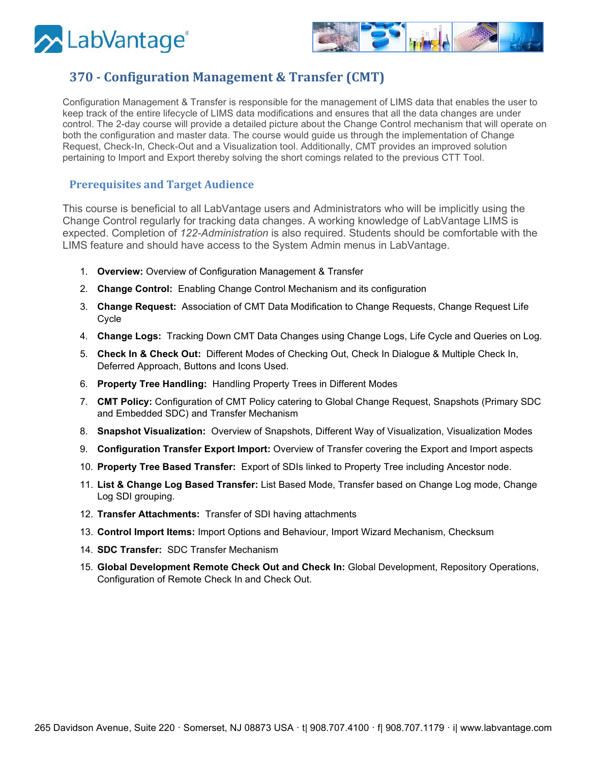



# <span id="page-20-0"></span>**370 - Configuration Management & Transfer (CMT)**

Configuration Management & Transfer is responsible for the management of LIMS data that enables the user to keep track of the entire lifecycle of LIMS data modifications and ensures that all the data changes are under control. The 2-day course will provide a detailed picture about the Change Control mechanism that will operate on both the configuration and master data. The course would guide us through the implementation of Change Request, Check-In, Check-Out and a Visualization tool. Additionally, CMT provides an improved solution pertaining to Import and Export thereby solving the short comings related to the previous CTT Tool.

### **Prerequisites and Target Audience**

This course is beneficial to all LabVantage users and Administrators who will be implicitly using the Change Control regularly for tracking data changes. A working knowledge of LabVantage LIMS is expected. Completion of *122-Administration* is also required. Students should be comfortable with the LIMS feature and should have access to the System Admin menus in LabVantage.

- 1. **Overview:** Overview of Configuration Management & Transfer
- 2. **Change Control:** Enabling Change Control Mechanism and its configuration
- 3. **Change Request:** Association of CMT Data Modification to Change Requests, Change Request Life Cycle
- 4. **Change Logs:** Tracking Down CMT Data Changes using Change Logs, Life Cycle and Queries on Log.
- 5. **Check In & Check Out:** Different Modes of Checking Out, Check In Dialogue & Multiple Check In, Deferred Approach, Buttons and Icons Used.
- 6. **Property Tree Handling:** Handling Property Trees in Different Modes
- 7. **CMT Policy:** Configuration of CMT Policy catering to Global Change Request, Snapshots (Primary SDC and Embedded SDC) and Transfer Mechanism
- 8. **Snapshot Visualization:** Overview of Snapshots, Different Way of Visualization, Visualization Modes
- 9. **Configuration Transfer Export Import:** Overview of Transfer covering the Export and Import aspects
- 10. **Property Tree Based Transfer:** Export of SDIs linked to Property Tree including Ancestor node.
- 11. **List & Change Log Based Transfer:** List Based Mode, Transfer based on Change Log mode, Change Log SDI grouping.
- 12. **Transfer Attachments:** Transfer of SDI having attachments
- 13. **Control Import Items:** Import Options and Behaviour, Import Wizard Mechanism, Checksum
- 14. **SDC Transfer:** SDC Transfer Mechanism
- 15. **Global Development Remote Check Out and Check In:** Global Development, Repository Operations, Configuration of Remote Check In and Check Out.